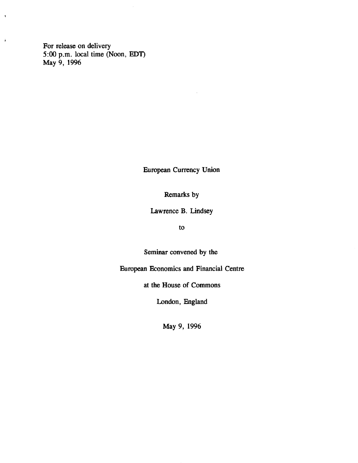For release on delivery 5:00 p.m. local time (Noon, EDT) May 9, 1996

**\**

 $\ddot{\bullet}$ 

European Currency Union

Remarks by

Lawrence B. Lindsey

to

Seminar convened by the

European Economics and Financial Centre

at the House of Commons

London, England

May 9, 1996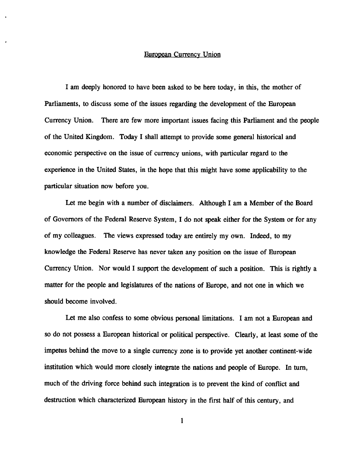# European Currency Union

I am deeply honored to have been asked to be here today, in this, the mother of Parliaments, to discuss some of the issues regarding the development of the European Currency Union. There are few more important issues facing this Parliament and the people of the United Kingdom. Today I shall attempt to provide some general historical and economic perspective on the issue of currency unions, with particular regard to the experience in the United States, in the hope that this might have some applicability to the particular situation now before you.

Let me begin with a number of disclaimers. Although I am a Member of the Board of Governors of the Federal Reserve System, I do not speak either for the System or for any of my colleagues. The views expressed today are entirely my own. Indeed, to my knowledge the Federal Reserve has never taken any position on the issue of European Currency Union. Nor would I support the development of such a position. This is rightly a matter for the people and legislatures of the nations of Europe, and not one in which we should become involved.

Let me also confess to some obvious personal limitations. I am not a European and so do not possess a European historical or political perspective. Clearly, at least some of the impetus behind the move to a single currency zone is to provide yet another continent-wide institution which would more closely integrate the nations and people of Europe. In turn, much of the driving force behind such integration is to prevent the kind of conflict and destruction which characterized European history in the first half of this century, and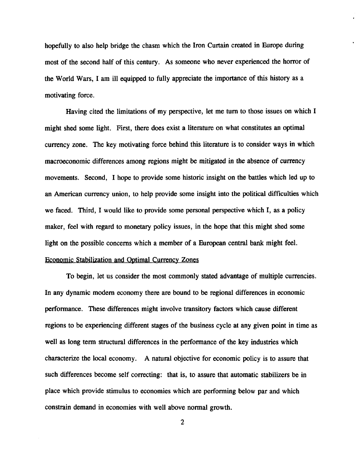hopefully to also help bridge the chasm which the Iron Curtain created in Europe during most of the second half of this century. As someone who never experienced the horror of the World Wars, I am ill equipped to fully appreciate the importance of this history as a motivating force.

Having cited the limitations of my perspective, let me turn to those issues on which I might shed some light. First, there does exist a literature on what constitutes an optimal currency zone. The key motivating force behind this literature is to consider ways in which macroeconomic differences among regions might be mitigated in the absence of currency movements. Second, I hope to provide some historic insight on the battles which led up to an American currency union, to help provide some insight into the political difficulties which we faced. Third, I would like to provide some personal perspective which I, as a policy maker, feel with regard to monetary policy issues, in the hope that this might shed some light on the possible concerns which a member of a European central bank might feel. Economic Stabilization and Optimal Currency Zones

To begin, let us consider the most commonly stated advantage of multiple currencies. In any dynamic modern economy there are bound to be regional differences in economic performance. These differences might involve transitory factors which cause different regions to be experiencing different stages of the business cycle at any given point in time as well as long term structural differences in the performance of the key industries which characterize the local economy. A natural objective for economic policy is to assure that such differences become self correcting: that is, to assure that automatic stabilizers be in place which provide stimulus to economies which are performing below par and which constrain demand in economies with well above normal growth.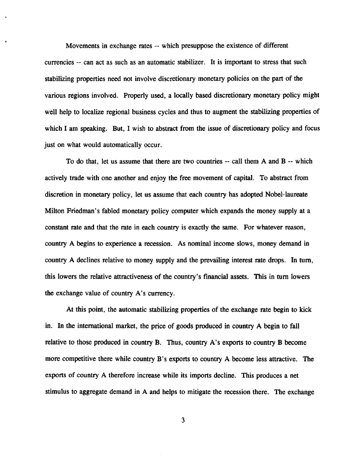Movements in exchange rates — which presuppose the existence of different currencies -- can act as such as an automatic stabilizer. It is important to stress that such stabilizing properties need not involve discretionary monetary policies on the part of the various regions involved. Properly used, a locally based discretionary monetary policy might well help to localize regional business cycles and thus to augment the stabilizing properties of which I am speaking. But, I wish to abstract from the issue of discretionary policy and focus just on what would automatically occur.

To do that, let us assume that there are two countries -- call them A and B -- which actively trade with one another and enjoy the free movement of capital. To abstract from discretion in monetary policy, let us assume that each country has adopted Nobel-laureate Milton Friedman's fabled monetary policy computer which expands the money supply at a constant rate and that the rate in each country is exactly the same. For whatever reason, country A begins to experience a recession. As nominal income slows, money demand in country A declines relative to money supply and the prevailing interest rate drops. In turn, this lowers the relative attractiveness of the country's fmancial assets. This in turn lowers the exchange value of country A's currency.

At this point, the automatic stabilizing properties of the exchange rate begin to kick in. In the international market, the price of goods produced in country A begin to fall relative to those produced in country B. Thus, country A's exports to country B become more competitive there while country B's exports to country A become less attractive. The exports of country A therefore increase while its imports decline. This produces a net stimulus to aggregate demand in A and helps to mitigate the recession there. The exchange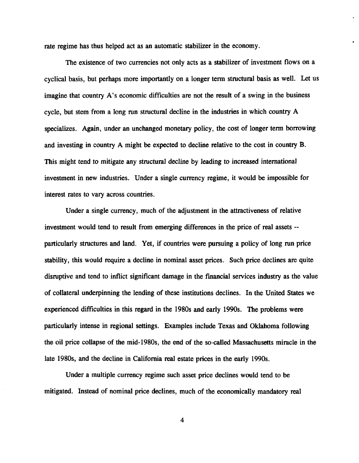rate regime has thus helped act as an automatic stabilizer in the economy.

The existence of two currencies not only acts as a stabilizer of investment flows on a cyclical basis, but perhaps more importantly on a longer term structural basis as well. Let us imagine that country A's economic difficulties are not the result of a swing in the business cycle, but stem from a long run structural decline in the industries in which country A specializes. Again, under an unchanged monetary policy, the cost of longer term borrowing and investing in country A might be expected to decline relative to the cost in country B. This might tend to mitigate any structural decline by leading to increased international investment in new industries. Under a single currency regime, it would be impossible for interest rates to vary across countries.

Under a single currency, much of the adjustment in the attractiveness of relative investment would tend to result from emerging differences in the price of real assets -particularly structures and land. Yet, if countries were pursuing a policy of long run price stability, this would require a decline in nominal asset prices. Such price declines are quite disruptive and tend to inflict significant damage in the financial services industry as the value of collateral underpinning the lending of these institutions declines. In the United States we experienced difficulties in this regard in the 1980s and early 1990s. The problems were particularly intense in regional settings. Examples include Texas and Oklahoma following the oil price collapse of the mid-1980s, the end of the so-called Massachusetts miracle in the late 1980s, and the decline in California real estate prices in the early 1990s.

Under a multiple currency regime such asset price declines would tend to be mitigated. Instead of nominal price declines, much of the economically mandatory real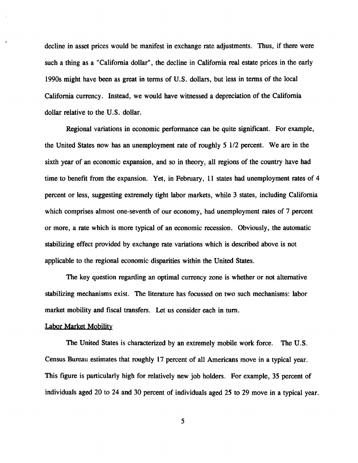decline in asset prices would be manifest in exchange rate adjustments. Thus, if there were such a thing as a "California dollar", the decline in California real estate prices in the early 1990s might have been as great in terms of U.S. dollars, but less in terms of the local California currency. Instead, we would have witnessed a depreciation of the California dollar relative to the U.S. dollar.

Regional variations in economic performance can be quite significant. For example, the United States now has an unemployment rate of roughly 5 1/2 percent. We are in the sixth year of an economic expansion, and so in theory, all regions of the country have had time to benefit from the expansion. Yet, in February, 11 states had unemployment rates of 4 percent or less, suggesting extremely tight labor markets, while 3 states, including California which comprises almost one-seventh of our economy, had unemployment rates of 7 percent or more, a rate which is more typical of an economic recession. Obviously, the automatic stabilizing effect provided by exchange rate variations which is described above is not applicable to the regional economic disparities within the United States.

The key question regarding an optimal currency zone is whether or not alternative stabilizing mechanisms exist. The literature has focussed on two such mechanisms: labor market mobility and fiscal transfers. Let us consider each in turn.

### Labor Market Mobility

The United States is characterized by an extremely mobile work force. The U.S. Census Bureau estimates that roughly 17 percent of all Americans move in a typical year. This figure is particularly high for relatively new job holders. For example, 35 percent of individuals aged 20 to 24 and 30 percent of individuals aged 25 to 29 move in a typical year.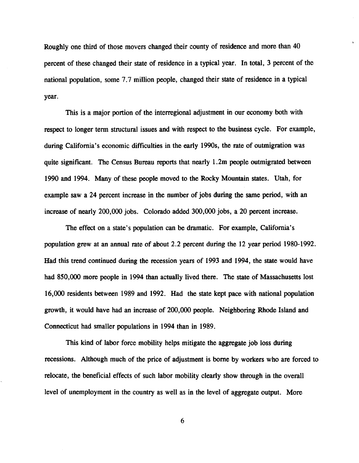Roughly one third of those movers changed their county of residence and more than 40 percent of these changed their state of residence in a typical year. In total, 3 percent of the national population, some 7.7 million people, changed their state of residence in a typical year.

This is a major portion of the interregional adjustment in our economy both with respect to longer term structural issues and with respect to the business cycle. For example, during California's economic difficulties in the early 1990s, the rate of outmigration was quite significant. The Census Bureau reports that nearly 1.2m people outmigrated between 1990 and 1994. Many of these people moved to the Rocky Mountain states. Utah, for example saw a 24 percent increase in the number of jobs during the same period, with an increase of nearly 200,000 jobs. Colorado added 300,000 jobs, a 20 percent increase.

The effect on a state's population can be dramatic. For example, California's population grew at an annual rate of about 2.2 percent during the 12 year period 1980-1992. Had this trend continued during the recession years of 1993 and 1994, the state would have had 850,000 more people in 1994 than actually lived there. The state of Massachusetts lost 16,000 residents between 1989 and 1992. Had the state kept pace with national population growth, it would have had an increase of 200,000 people. Neighboring Rhode Island and Connecticut had smaller populations in 1994 than in 1989.

This kind of labor force mobility helps mitigate the aggregate job loss during recessions. Although much of the price of adjustment is borne by workers who are forced to relocate, the beneficial effects of such labor mobility clearly show through in the overall level of unemployment in the country as well as in the level of aggregate output. More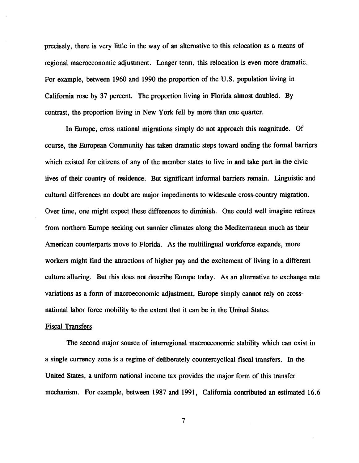precisely, there is very little in the way of an alternative to this relocation as a means of regional macroeconomic adjustment. Longer term, this relocation is even more dramatic. For example, between 1960 and 1990 the proportion of the U.S. population living in California rose by 37 percent. The proportion living in Florida almost doubled. By contrast, the proportion living in New York fell by more than one quarter.

In Europe, cross national migrations simply do not approach this magnitude. Of course, the European Community has taken dramatic steps toward ending the formal barriers which existed for citizens of any of the member states to live in and take part in the civic lives of their country of residence. But significant informal barriers remain. Linguistic and cultural differences no doubt are major impediments to widescale cross-country migration. Over time, one might expect these differences to diminish. One could well imagine retirees from northern Europe seeking out sunnier climates along the Mediterranean much as their American counterparts move to Florida. As the multilingual workforce expands, more workers might find the attractions of higher pay and the excitement of living in a different culture alluring. But this does not describe Europe today. As an alternative to exchange rate variations as a form of macroeconomic adjustment, Europe simply cannot rely on crossnational labor force mobility to the extent that it can be in the United States.

# Fiscal Transfers

The second major source of interregional macroeconomic stability which can exist in a single currency zone is a regime of deliberately countercyclical fiscal transfers. In the United States, a uniform national income tax provides the major form of this transfer mechanism. For example, between 1987 and 1991, California contributed an estimated 16.6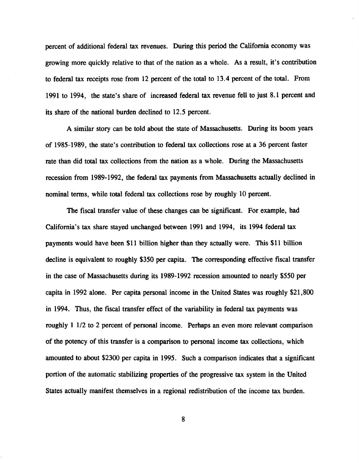percent of additional federal tax revenues. During this period the California economy was growing more quickly relative to that of the nation as a whole. As a result, it's contribution to federal tax receipts rose from 12 percent of the total to 13.4 percent of the total. From 1991 to 1994, the state's share of increased federal tax revenue fell to just 8.1 percent and its share of the national burden declined to 12.5 percent.

A similar story can be told about the state of Massachusetts. During its boom years of 1985-1989, the state's contribution to federal tax collections rose at a 36 percent faster rate than did total tax collections from the nation as a whole. During the Massachusetts recession from 1989-1992, the federal tax payments from Massachusetts actually declined in nominal terms, while total federal tax collections rose by roughly 10 percent.

The fiscal transfer value of these changes can be significant. For example, had California's tax share stayed unchanged between 1991 and 1994, its 1994 federal tax payments would have been \$11 billion higher than they actually were. This \$11 billion decline is equivalent to roughly \$350 per capita. The corresponding effective fiscal transfer in the case of Massachusetts during its 1989-1992 recession amounted to nearly \$550 per capita in 1992 alone. Per capita personal income in the United States was roughly \$21,800 in 1994. Thus, the fiscal transfer effect of the variability in federal tax payments was roughly 1 1/2 to 2 percent of personal income. Perhaps an even more relevant comparison of the potency of this transfer is a comparison to personal income tax collections, which amounted to about \$2300 per capita in 1995. Such a comparison indicates that a significant portion of the automatic stabilizing properties of the progressive tax system in the United States actually manifest themselves in a regional redistribution of the income tax burden.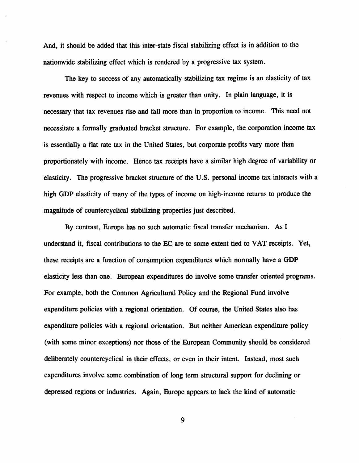And, it should be added that this inter-state fiscal stabilizing effect is in addition to the nationwide stabilizing effect which is rendered by a progressive tax system.

The key to success of any automatically stabilizing tax regime is an elasticity of tax revenues with respect to income which is greater than unity. In plain language, it is necessary that tax revenues rise and fall more than in proportion to income. This need not necessitate a formally graduated bracket structure. For example, the corporation income tax is essentially a flat rate tax in the United States, but corporate profits vary more than proportionately with income. Hence tax receipts have a similar high degree of variability or elasticity. The progressive bracket structure of the U.S. personal income tax interacts with a high GDP elasticity of many of the types of income on high-income returns to produce the magnitude of countercyclical stabilizing properties just described.

By contrast, Europe has no such automatic fiscal transfer mechanism. As I understand it, fiscal contributions to the EC are to some extent tied to VAT receipts. Yet, these receipts are a function of consumption expenditures which normally have a GDP elasticity less than one. European expenditures do involve some transfer oriented programs. For example, both the Common Agricultural Policy and the Regional Fund involve expenditure policies with a regional orientation. Of course, the United States also has expenditure policies with a regional orientation. But neither American expenditure policy (with some minor exceptions) nor those of the European Community should be considered deliberately countercyclical in their effects, or even in their intent. Instead, most such expenditures involve some combination of long term structural support for declining or depressed regions or industries. Again, Europe appears to lack the kind of automatic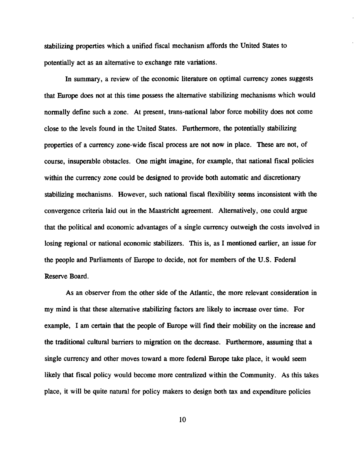stabilizing properties which a unified fiscal mechanism affords the United States to potentially act as an alternative to exchange rate variations.

In summary, a review of the economic literature on optimal currency zones suggests that Europe does not at this time possess the alternative stabilizing mechanisms which would normally define such a zone. At present, trans-national labor force mobility does not come close to the levels found in the United States. Furthermore, the potentially stabilizing properties of a currency zone-wide fiscal process are not now in place. These are not, of course, insuperable obstacles. One might imagine, for example, that national fiscal policies within the currency zone could be designed to provide both automatic and discretionary stabilizing mechanisms. However, such national fiscal flexibility seems inconsistent with the convergence criteria laid out in the Maastricht agreement. Alternatively, one could argue that the political and economic advantages of a single currency outweigh the costs involved in losing regional or national economic stabilizers. This is, as I mentioned earlier, an issue for the people and Parliaments of Europe to decide, not for members of the U.S. Federal Reserve Board.

As an observer from the other side of the Atlantic, the more relevant consideration in my mind is that these alternative stabilizing factors are likely to increase over time. For example, I am certain that the people of Europe will find their mobility on the increase and the traditional cultural barriers to migration on the decrease. Furthermore, assuming that a single currency and other moves toward a more federal Europe take place, it would seem likely that fiscal policy would become more centralized within the Community. As this takes place, it will be quite natural for policy makers to design both tax and expenditure policies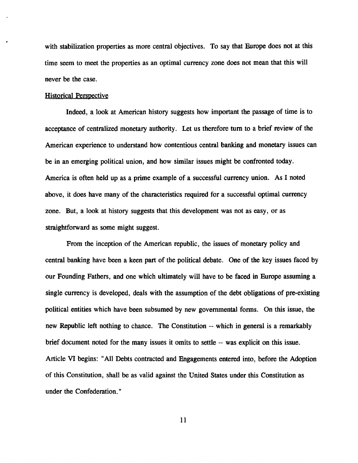with stabilization properties as more central objectives. To say that Europe does not at this time seem to meet the properties as an optimal currency zone does not mean that this will never be the case.

#### Historical Perspective

Indeed, a look at American history suggests how important the passage of time is to acceptance of centralized monetary authority. Let us therefore turn to a brief review of the American experience to understand how contentious central banking and monetary issues can be in an emerging political union, and how similar issues might be confronted today. America is often held up as a prime example of a successful currency union. As I noted above, it does have many of the characteristics required for a successful optimal currency zone. But, a look at history suggests that this development was not as easy, or as straightforward as some might suggest.

From the inception of the American republic, the issues of monetary policy and central banking have been a keen part of the political debate. One of the key issues faced by our Founding Fathers, and one which ultimately will have to be faced in Europe assuming a single currency is developed, deals with the assumption of the debt obligations of pre-existing political entities which have been subsumed by new governmental forms. On this issue, the new Republic left nothing to chance. The Constitution — which in general is a remarkably brief document noted for the many issues it omits to settle -- was explicit on this issue. Article VI begins: "All Debts contracted and Engagements entered into, before the Adoption of this Constitution, shall be as valid against the United States under this Constitution as under the Confederation."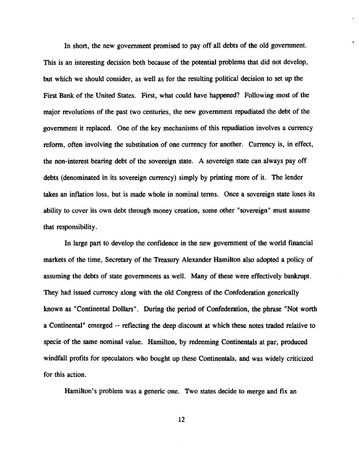In short, the new government promised to pay off all debts of the old government. This is an interesting decision both because of the potential problems that did not develop, but which we should consider, as well as for the resulting political decision to set up the First Bank of the United States. First, what could have happened? Following most of the major revolutions of the past two centuries, the new government repudiated the debt of the government it replaced. One of the key mechanisms of this repudiation involves a currency reform, often involving the substitution of one currency for another. Currency is, in effect, the non-interest bearing debt of the sovereign state. A sovereign state can always pay off debts (denominated in its sovereign currency) simply by printing more of it. The lender takes an inflation loss, but is made whole in nominal terms. Once a sovereign state loses its ability to cover its own debt through money creation, some other "sovereign" must assume that responsibility.

In large part to develop the confidence in the new government of the world financial markets of the time, Secretary of the Treasury Alexander Hamilton also adopted a policy of assuming the debts of state governments as well. Many of these were effectively bankrupt. They had issued currency along with the old Congress of the Confederation generically known as "Continental Dollars". During the period of Confederation, the phrase "Not worth a Continental" emerged -- reflecting the deep discount at which these notes traded relative to specie of the same nominal value. Hamilton, by redeeming Continentals at par, produced windfall profits for speculators who bought up these Continentals, and was widely criticized for this action.

Hamilton's problem was a generic one. Two states decide to merge and fix an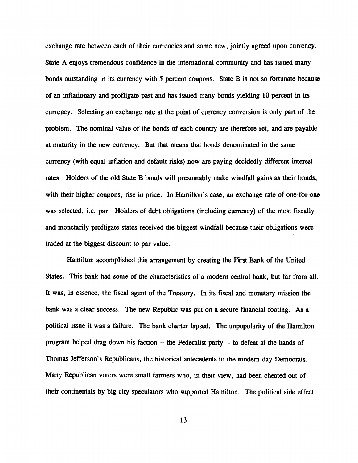exchange rate between each of their currencies and some new, jointly agreed upon currency. State A enjoys tremendous confidence in the international community and has issued many bonds outstanding in its currency with 5 percent coupons. State B is not so fortunate because of an inflationary and profligate past and has issued many bonds yielding 10 percent in its currency. Selecting an exchange rate at the point of currency conversion is only part of the problem. The nominal value of the bonds of each country are therefore set, and are payable at maturity in the new currency. But that means that bonds denominated in the same currency (with equal inflation and default risks) now are paying decidedly different interest rates. Holders of the old State B bonds will presumably make windfall gains as their bonds, with their higher coupons, rise in price. In Hamilton's case, an exchange rate of one-for-one was selected, i.e. par. Holders of debt obligations (including currency) of the most fiscally and monetarily profligate states received the biggest windfall because their obligations were traded at the biggest discount to par value.

Hamilton accomplished this arrangement by creating the First Bank of the United States. This bank had some of the characteristics of a modern central bank, but far from all. It was, in essence, the fiscal agent of the Treasury. In its fiscal and monetary mission the bank was a clear success. The new Republic was put on a secure financial footing. As a political issue it was a failure. The bank charter lapsed. The unpopularity of the Hamilton program helped drag down his faction -- the Federalist party -- to defeat at the hands of Thomas Jefferson's Republicans, the historical antecedents to the modem day Democrats. Many Republican voters were small farmers who, in their view, had been cheated out of their continentals by big city speculators who supported Hamilton. The political side effect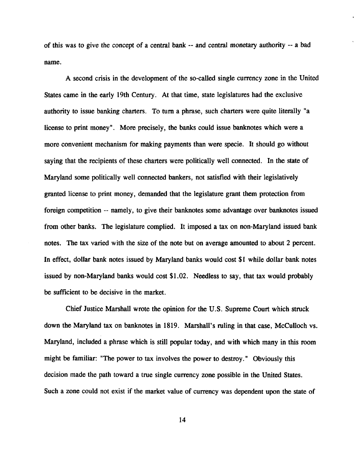of this was to give the concept of a central bank - and central monetary authority ~ a bad name.

A second crisis in the development of the so-called single currency zone in the United States came in the early 19th Century. At that time, state legislatures had the exclusive authority to issue banking charters. To turn a phrase, such charters were quite literally "a license to print money". More precisely, the banks could issue banknotes which were a more convenient mechanism for making payments than were specie. It should go without saying that the recipients of these charters were politically well connected. In the state of Maryland some politically well connected bankers, not satisfied with their legislatively granted license to print money, demanded that the legislature grant them protection from foreign competition -- namely, to give their banknotes some advantage over banknotes issued from other banks. The legislature complied. It imposed a tax on non-Maryland issued bank notes. The tax varied with the size of the note but on average amounted to about 2 percent. In effect, dollar bank notes issued by Maryland banks would cost \$1 while dollar bank notes issued by non-Maryland banks would cost \$1.02. Needless to say, that tax would probably be sufficient to be decisive in the market.

Chief Justice Marshall wrote the opinion for the U.S. Supreme Court which struck down the Maryland tax on banknotes in 1819. Marshall's ruling in that case, McCulloch vs. Maryland, included a phrase which is still popular today, and with which many in this room might be familiar: "The power to tax involves the power to destroy." Obviously this decision made the path toward a true single currency zone possible in the United States. Such a zone could not exist if the market value of currency was dependent upon the state of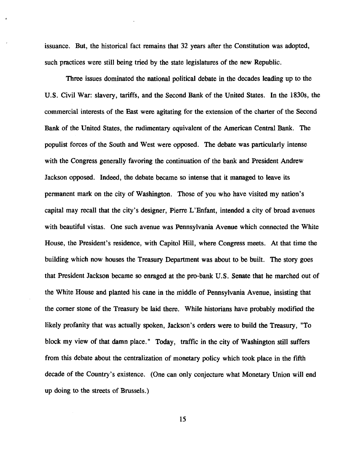issuance. But, the historical fact remains that 32 years after the Constitution was adopted, such practices were still being tried by the state legislatures of the new Republic.

Three issues dominated the national political debate in the decades leading up to the U.S. Civil War: slavery, tariffs, and the Second Bank of the United States. In the 1830s, the commercial interests of the East were agitating for the extension of the charter of the Second Bank of the United States, the rudimentary equivalent of the American Central Bank. The populist forces of the South and West were opposed. The debate was particularly intense with the Congress generally favoring the continuation of the bank and President Andrew Jackson opposed. Indeed, the debate became so intense that it managed to leave its permanent mark on the city of Washington. Those of you who have visited my nation's capital may recall that the city's designer, Pierre L'Enfant, intended a city of broad avenues with beautiful vistas. One such avenue was Pennsylvania Avenue which connected the White House, the President's residence, with Capitol Hill, where Congress meets. At that time the building which now houses the Treasury Department was about to be built. The story goes that President Jackson became so enraged at the pro-bank U.S. Senate that he marched out of the White House and planted his cane in the middle of Pennsylvania Avenue, insisting that the corner stone of the Treasury be laid there. While historians have probably modified the likely profanity that was actually spoken, Jackson's orders were to build the Treasury, "To block my view of that damn place." Today, traffic in the city of Washington still suffers from this debate about the centralization of monetary policy which took place in the fifth decade of the Country's existence. (One can only conjecture what Monetary Union will end up doing to the streets of Brussels.)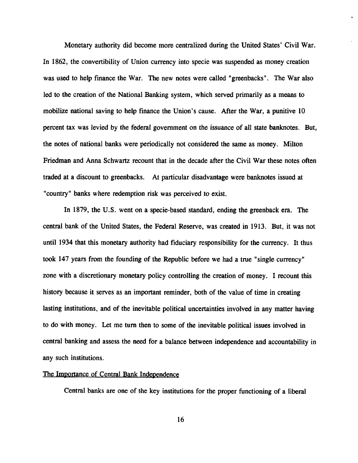Monetary authority did become more centralized during the United States' Civil War. In 1862, the convertibility of Union currency into specie was suspended as money creation was used to help finance the War. The new notes were called "greenbacks". The War also led to the creation of the National Banking system, which served primarily as a means to mobilize national saving to help finance the Union's cause. After the War, a punitive 10 percent tax was levied by the federal government on the issuance of all state banknotes. But, the notes of national banks were periodically not considered the same as money. Milton Friedman and Anna Schwartz recount that in the decade after the Civil War these notes often traded at a discount to greenbacks. At particular disadvantage were banknotes issued at "country" banks where redemption risk was perceived to exist.

In 1879, the U.S. went on a specie-based standard, ending the greenback era. The central bank of the United States, the Federal Reserve, was created in 1913. But, it was not until 1934 that this monetary authority had fiduciary responsibility for the currency. It thus took 147 years from the founding of the Republic before we had a true "single currency" zone with a discretionary monetary policy controlling the creation of money. I recount this history because it serves as an important reminder, both of the value of time in creating lasting institutions, and of the inevitable political uncertainties involved in any matter having to do with money. Let me turn then to some of the inevitable political issues involved in central banking and assess the need for a balance between independence and accountability in any such institutions.

# The Importance of Central Bank Independence

Central banks are one of the key institutions for the proper functioning of a liberal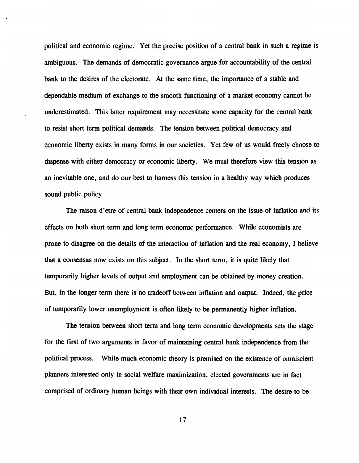political and economic regime. Yet the precise position of a central bank in such a regime is ambiguous. The demands of democratic governance argue for accountability of the central bank to the desires of the electorate. At the same time, the importance of a stable and dependable medium of exchange to the smooth functioning of a market economy cannot be underestimated. This latter requirement may necessitate some capacity for the central bank to resist short term political demands. The tension between political democracy and economic liberty exists in many forms in our societies. Yet few of us would freely choose to dispense with either democracy or economic liberty. We must therefore view this tension as an inevitable one, and do our best to harness this tension in a healthy way which produces sound public policy.

The raison d'etre of central bank independence centers on the issue of inflation and its effects on both short term and long term economic performance. While economists are prone to disagree on the details of the interaction of inflation and the real economy, I believe that a consensus now exists on this subject. In the short term, it is quite likely that temporarily higher levels of output and employment can be obtained by money creation. But, in the longer term there is no tradeoff between inflation and output. Indeed, the price of temporarily lower unemployment is often likely to be permanently higher inflation.

The tension between short term and long term economic developments sets the stage for the first of two arguments in favor of maintaining central bank independence from the political process. While much economic theory is premised on the existence of omniscient planners interested only in social welfare maximization, elected governments are in fact comprised of ordinary human beings with their own individual interests. The desire to be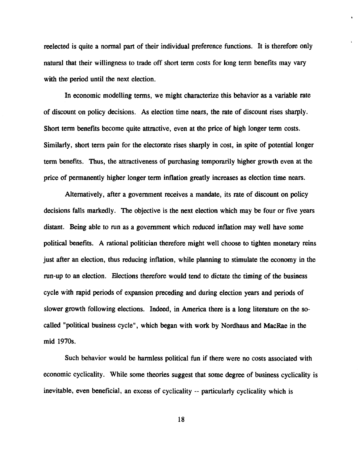reelected is quite a normal part of their individual preference functions. It is therefore only natural that their willingness to trade off short term costs for long term benefits may vary with the period until the next election.

In economic modelling terms, we might characterize this behavior as a variable rate of discount on policy decisions. As election time nears, the rate of discount rises sharply. Short term benefits become quite attractive, even at the price of high longer term costs. Similarly, short term pain for the electorate rises sharply in cost, in spite of potential longer term benefits. Thus, the attractiveness of purchasing temporarily higher growth even at the price of permanently higher longer term inflation greatly increases as election time nears.

Alternatively, after a government receives a mandate, its rate of discount on policy decisions falls markedly. The objective is the next election which may be four or five years distant. Being able to run as a government which reduced inflation may well have some political benefits. A rational politician therefore might well choose to tighten monetary reins just after an election, thus reducing inflation, while planning to stimulate the economy in the run-up to an election. Elections therefore would tend to dictate the timing of the business cycle with rapid periods of expansion preceding and during election years and periods of slower growth following elections. Indeed, in America there is a long literature on the socalled "political business cycle", which began with work by Nordhaus and MacRae in the mid 1970s.

Such behavior would be harmless political fun if there were no costs associated with economic cyclically. While some theories suggest that some degree of business cyclically is inevitable, even beneficial, an excess of cyclicality -- particularly cyclicality which is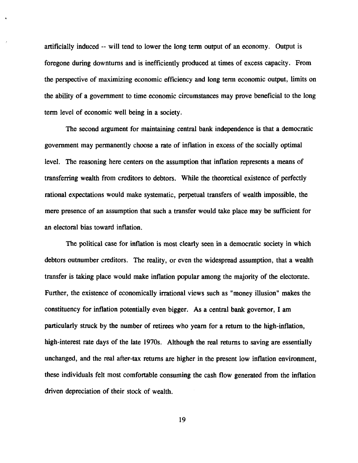artificially induced -- will tend to lower the long term output of an economy. Output is foregone during downturns and is inefficiently produced at times of excess capacity. From the perspective of maximizing economic efficiency and long term economic output, limits on the ability of a government to time economic circumstances may prove beneficial to the long term level of economic well being in a society.

The second argument for maintaining central bank independence is that a democratic government may permanently choose a rate of inflation in excess of the socially optimal level. The reasoning here centers on the assumption that inflation represents a means of transferring wealth from creditors to debtors. While the theoretical existence of perfectly rational expectations would make systematic, perpetual transfers of wealth impossible, the mere presence of an assumption that such a transfer would take place may be sufficient for an electoral bias toward inflation.

The political case for inflation is most clearly seen in a democratic society in which debtors outnumber creditors. The reality, or even the widespread assumption, that a wealth transfer is taking place would make inflation popular among the majority of the electorate. Further, the existence of economically irrational views such as "money illusion" makes the constituency for inflation potentially even bigger. As a central bank governor, I am particularly struck by the number of retirees who yearn for a return to the high-inflation, high-interest rate days of the late 1970s. Although the real returns to saving are essentially unchanged, and the real after-tax returns are higher in the present low inflation environment, these individuals felt most comfortable consuming the cash flow generated from the inflation driven depreciation of their stock of wealth.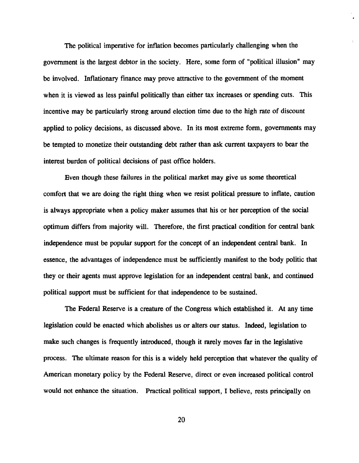The political imperative for inflation becomes particularly challenging when the government is the largest debtor in the society. Here, some form of "political illusion" may be involved. Inflationary finance may prove attractive to the government of the moment when it is viewed as less painful politically than either tax increases or spending cuts. This incentive may be particularly strong around election time due to the high rate of discount applied to policy decisions, as discussed above. In its most extreme form, governments may be tempted to monetize their outstanding debt rather than ask current taxpayers to bear the interest burden of political decisions of past office holders.

Even though these failures in the political market may give us some theoretical comfort that we are doing the right thing when we resist political pressure to inflate, caution is always appropriate when a policy maker assumes that his or her perception of the social optimum differs from majority will. Therefore, the first practical condition for central bank independence must be popular support for the concept of an independent central bank. In essence, the advantages of independence must be sufficiently manifest to the body politic that they or their agents must approve legislation for an independent central bank, and continued political support must be sufficient for that independence to be sustained.

The Federal Reserve is a creature of the Congress which established it. At any time legislation could be enacted which abolishes us or alters our status. Indeed, legislation to make such changes is frequently introduced, though it rarely moves far in the legislative process. The ultimate reason for this is a widely held perception that whatever the quality of American monetary policy by the Federal Reserve, direct or even increased political control would not enhance the situation. Practical political support, I believe, rests principally on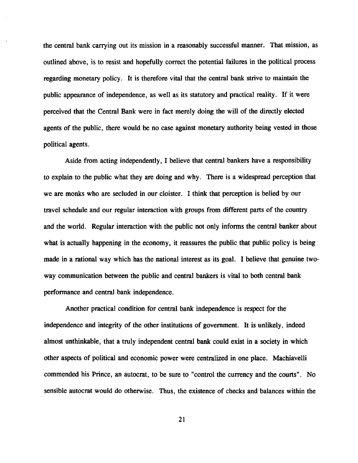the central bank carrying out its mission in a reasonably successful manner. That mission, as outlined above, is to resist and hopefully correct the potential failures in the political process regarding monetary policy. It is therefore vital that the central bank strive to maintain the public appearance of independence, as well as its statutory and practical reality. If it were perceived that the Central Bank were in fact merely doing the will of the directly elected agents of the public, there would be no case against monetary authority being vested in those political agents.

Aside from acting independently, I believe that central bankers have a responsibility to explain to the public what they are doing and why. There is a widespread perception that we are monks who are secluded in our cloister. I think that perception is belied by our travel schedule and our regular interaction with groups from different parts of the country and the world. Regular interaction with the public not only informs the central banker about what is actually happening in the economy, it reassures the public that public policy is being made in a rational way which has the national interest as its goal. I believe that genuine twoway communication between the public and central bankers is vital to both central bank performance and central bank independence.

Another practical condition for central bank independence is respect for the independence and integrity of the other institutions of government. It is unlikely, indeed almost unthinkable, that a truly independent central bank could exist in a society in which other aspects of political and economic power were centralized in one place. Machiavelli commended his Prince, an autocrat, to be sure to "control the currency and the courts". No sensible autocrat would do otherwise. Thus, the existence of checks and balances within the